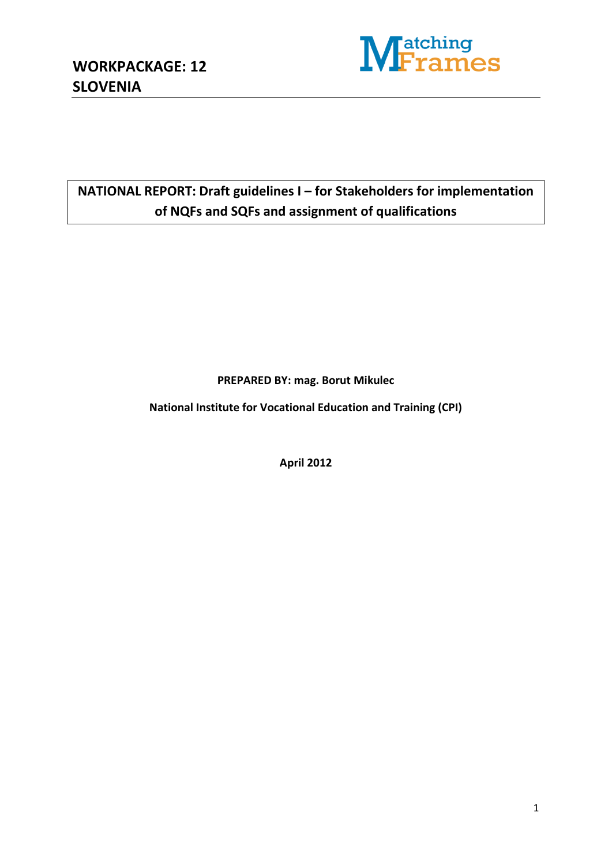

# **NATIONAL REPORT: Draft guidelines I – for Stakeholders for implementation of NQFs and SQFs and assignment of qualifications**

**PREPARED BY: mag. Borut Mikulec**

**National Institute for Vocational Education and Training (CPI)**

**April 2012**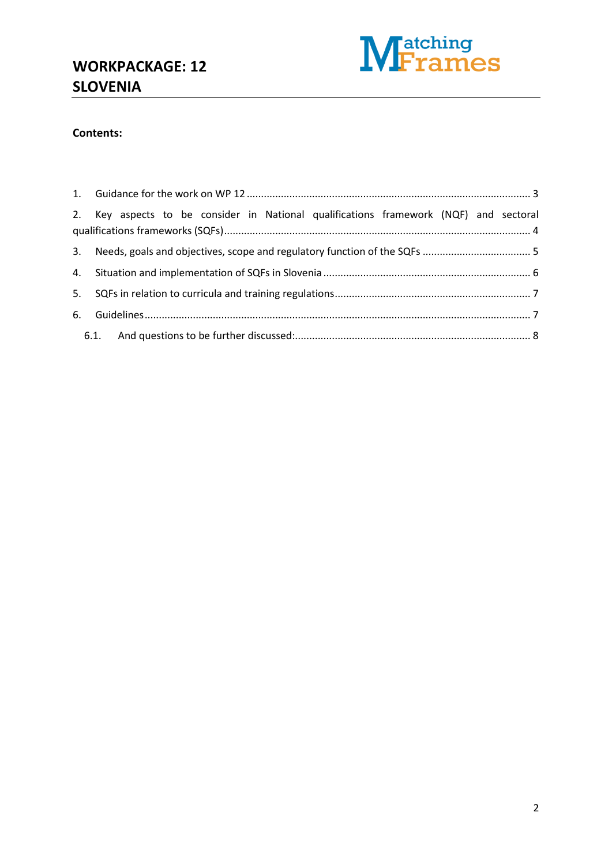

#### **Contents:**

|    |  |  |  |  |  |  | 2. Key aspects to be consider in National qualifications framework (NQF) and sectoral |  |  |  |  |
|----|--|--|--|--|--|--|---------------------------------------------------------------------------------------|--|--|--|--|
|    |  |  |  |  |  |  |                                                                                       |  |  |  |  |
|    |  |  |  |  |  |  |                                                                                       |  |  |  |  |
| 5. |  |  |  |  |  |  |                                                                                       |  |  |  |  |
|    |  |  |  |  |  |  |                                                                                       |  |  |  |  |
|    |  |  |  |  |  |  |                                                                                       |  |  |  |  |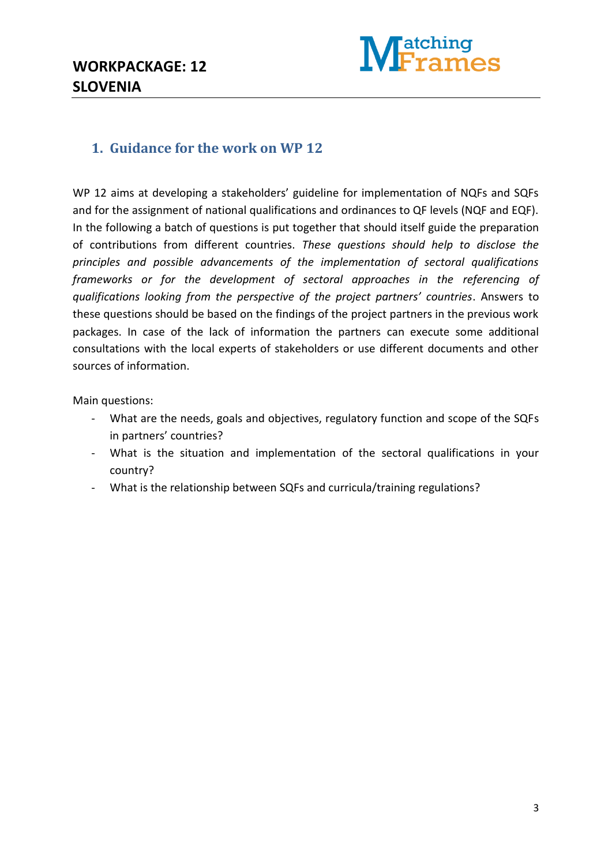

#### <span id="page-2-0"></span>**1. Guidance for the work on WP 12**

WP 12 aims at developing a stakeholders' guideline for implementation of NQFs and SQFs and for the assignment of national qualifications and ordinances to QF levels (NQF and EQF). In the following a batch of questions is put together that should itself guide the preparation of contributions from different countries. *These questions should help to disclose the principles and possible advancements of the implementation of sectoral qualifications frameworks or for the development of sectoral approaches in the referencing of qualifications looking from the perspective of the project partners' countries*. Answers to these questions should be based on the findings of the project partners in the previous work packages. In case of the lack of information the partners can execute some additional consultations with the local experts of stakeholders or use different documents and other sources of information.

Main questions:

- What are the needs, goals and objectives, regulatory function and scope of the SQFs in partners' countries?
- What is the situation and implementation of the sectoral qualifications in your country?
- What is the relationship between SQFs and curricula/training regulations?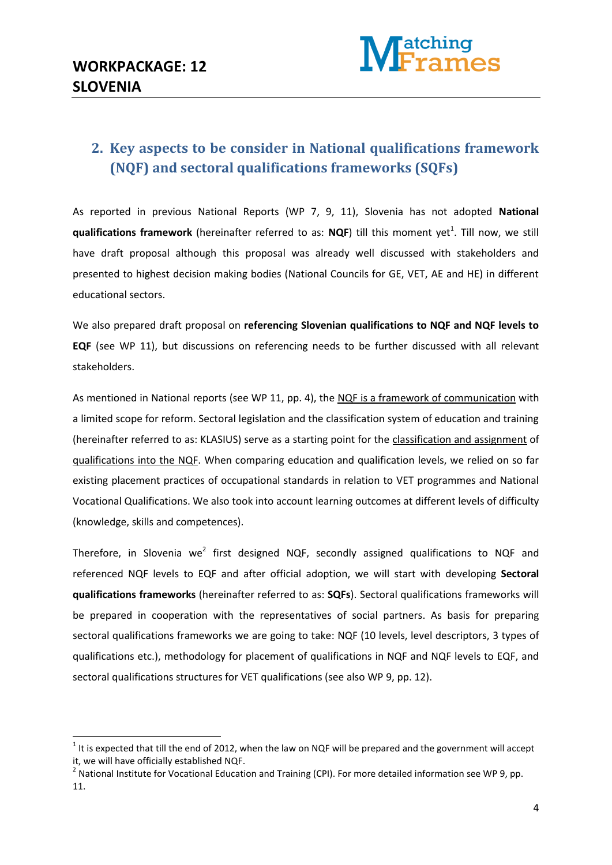1



## <span id="page-3-0"></span>**2. Key aspects to be consider in National qualifications framework (NQF) and sectoral qualifications frameworks (SQFs)**

As reported in previous National Reports (WP 7, 9, 11), Slovenia has not adopted **National qualifications framework** (hereinafter referred to as: NQF) till this moment yet<sup>1</sup>. Till now, we still have draft proposal although this proposal was already well discussed with stakeholders and presented to highest decision making bodies (National Councils for GE, VET, AE and HE) in different educational sectors.

We also prepared draft proposal on **referencing Slovenian qualifications to NQF and NQF levels to EQF** (see WP 11), but discussions on referencing needs to be further discussed with all relevant stakeholders.

As mentioned in National reports (see WP 11, pp. 4), the NQF is a framework of communication with a limited scope for reform. Sectoral legislation and the classification system of education and training (hereinafter referred to as: KLASIUS) serve as a starting point for the classification and assignment of qualifications into the NQF. When comparing education and qualification levels, we relied on so far existing placement practices of occupational standards in relation to VET programmes and National Vocational Qualifications. We also took into account learning outcomes at different levels of difficulty (knowledge, skills and competences).

Therefore, in Slovenia we<sup>2</sup> first designed NQF, secondly assigned qualifications to NQF and referenced NQF levels to EQF and after official adoption, we will start with developing **Sectoral qualifications frameworks** (hereinafter referred to as: **SQFs**). Sectoral qualifications frameworks will be prepared in cooperation with the representatives of social partners. As basis for preparing sectoral qualifications frameworks we are going to take: NQF (10 levels, level descriptors, 3 types of qualifications etc.), methodology for placement of qualifications in NQF and NQF levels to EQF, and sectoral qualifications structures for VET qualifications (see also WP 9, pp. 12).

 $1$  It is expected that till the end of 2012, when the law on NQF will be prepared and the government will accept it, we will have officially established NQF.

<sup>&</sup>lt;sup>2</sup> National Institute for Vocational Education and Training (CPI). For more detailed information see WP 9, pp. 11.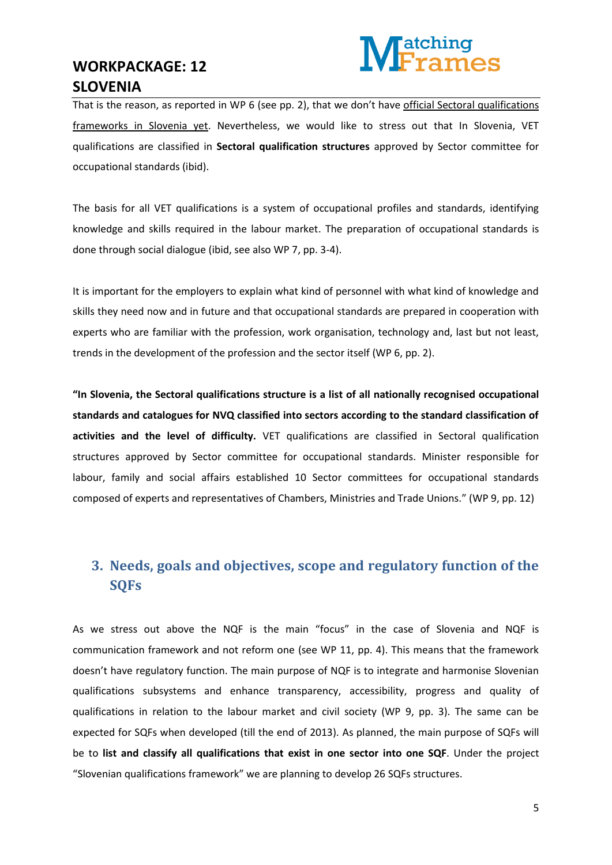

That is the reason, as reported in WP 6 (see pp. 2), that we don't have official Sectoral qualifications frameworks in Slovenia yet. Nevertheless, we would like to stress out that In Slovenia, VET qualifications are classified in **Sectoral qualification structures** approved by Sector committee for occupational standards (ibid).

The basis for all VET qualifications is a system of occupational profiles and standards, identifying knowledge and skills required in the labour market. The preparation of occupational standards is done through social dialogue (ibid, see also WP 7, pp. 3-4).

It is important for the employers to explain what kind of personnel with what kind of knowledge and skills they need now and in future and that occupational standards are prepared in cooperation with experts who are familiar with the profession, work organisation, technology and, last but not least, trends in the development of the profession and the sector itself (WP 6, pp. 2).

**"In Slovenia, the Sectoral qualifications structure is a list of all nationally recognised occupational standards and catalogues for NVQ classified into sectors according to the standard classification of activities and the level of difficulty.** VET qualifications are classified in Sectoral qualification structures approved by Sector committee for occupational standards. Minister responsible for labour, family and social affairs established 10 Sector committees for occupational standards composed of experts and representatives of Chambers, Ministries and Trade Unions." (WP 9, pp. 12)

## <span id="page-4-0"></span>**3. Needs, goals and objectives, scope and regulatory function of the SQFs**

As we stress out above the NQF is the main "focus" in the case of Slovenia and NQF is communication framework and not reform one (see WP 11, pp. 4). This means that the framework doesn't have regulatory function. The main purpose of NQF is to integrate and harmonise Slovenian qualifications subsystems and enhance transparency, accessibility, progress and quality of qualifications in relation to the labour market and civil society (WP 9, pp. 3). The same can be expected for SQFs when developed (till the end of 2013). As planned, the main purpose of SQFs will be to **list and classify all qualifications that exist in one sector into one SQF**. Under the project "Slovenian qualifications framework" we are planning to develop 26 SQFs structures.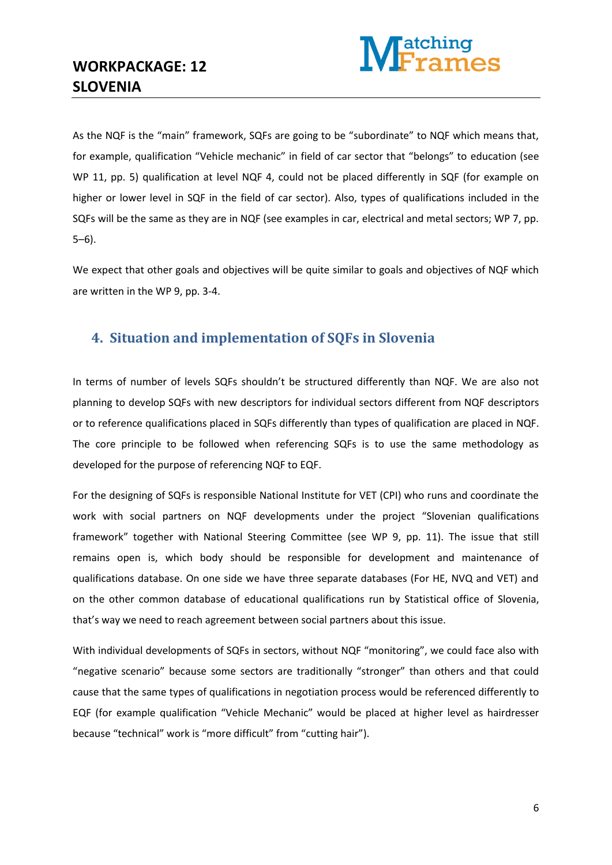

As the NQF is the "main" framework, SQFs are going to be "subordinate" to NQF which means that, for example, qualification "Vehicle mechanic" in field of car sector that "belongs" to education (see WP 11, pp. 5) qualification at level NQF 4, could not be placed differently in SQF (for example on higher or lower level in SQF in the field of car sector). Also, types of qualifications included in the SQFs will be the same as they are in NQF (see examples in car, electrical and metal sectors; WP 7, pp. 5–6).

We expect that other goals and objectives will be quite similar to goals and objectives of NQF which are written in the WP 9, pp. 3-4.

#### <span id="page-5-0"></span>**4. Situation and implementation of SQFs in Slovenia**

In terms of number of levels SQFs shouldn't be structured differently than NQF. We are also not planning to develop SQFs with new descriptors for individual sectors different from NQF descriptors or to reference qualifications placed in SQFs differently than types of qualification are placed in NQF. The core principle to be followed when referencing SQFs is to use the same methodology as developed for the purpose of referencing NQF to EQF.

For the designing of SQFs is responsible National Institute for VET (CPI) who runs and coordinate the work with social partners on NQF developments under the project "Slovenian qualifications framework" together with National Steering Committee (see WP 9, pp. 11). The issue that still remains open is, which body should be responsible for development and maintenance of qualifications database. On one side we have three separate databases (For HE, NVQ and VET) and on the other common database of educational qualifications run by Statistical office of Slovenia, that's way we need to reach agreement between social partners about this issue.

With individual developments of SQFs in sectors, without NQF "monitoring", we could face also with "negative scenario" because some sectors are traditionally "stronger" than others and that could cause that the same types of qualifications in negotiation process would be referenced differently to EQF (for example qualification "Vehicle Mechanic" would be placed at higher level as hairdresser because "technical" work is "more difficult" from "cutting hair").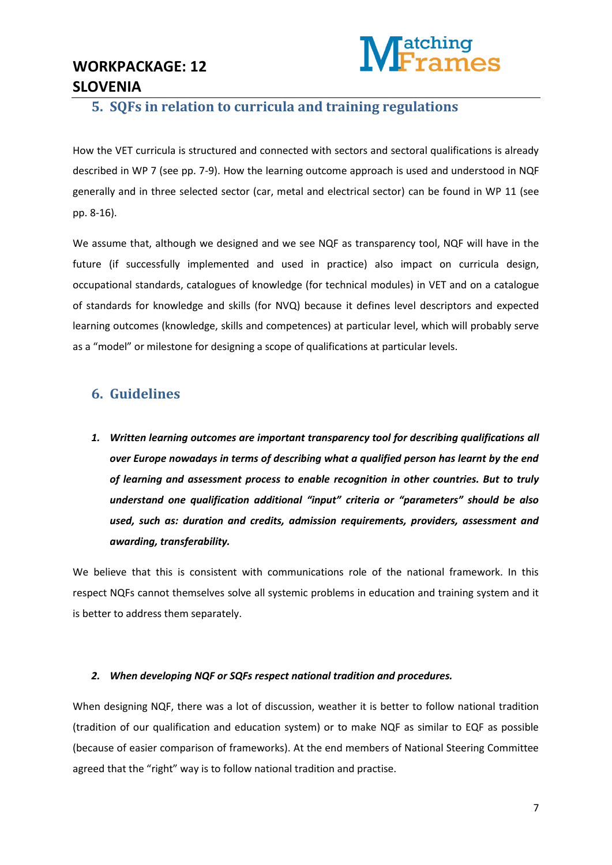

#### <span id="page-6-0"></span>**5. SQFs in relation to curricula and training regulations**

How the VET curricula is structured and connected with sectors and sectoral qualifications is already described in WP 7 (see pp. 7-9). How the learning outcome approach is used and understood in NQF generally and in three selected sector (car, metal and electrical sector) can be found in WP 11 (see pp. 8-16).

We assume that, although we designed and we see NQF as transparency tool, NQF will have in the future (if successfully implemented and used in practice) also impact on curricula design, occupational standards, catalogues of knowledge (for technical modules) in VET and on a catalogue of standards for knowledge and skills (for NVQ) because it defines level descriptors and expected learning outcomes (knowledge, skills and competences) at particular level, which will probably serve as a "model" or milestone for designing a scope of qualifications at particular levels.

#### <span id="page-6-1"></span>**6. Guidelines**

*1. Written learning outcomes are important transparency tool for describing qualifications all over Europe nowadays in terms of describing what a qualified person has learnt by the end of learning and assessment process to enable recognition in other countries. But to truly understand one qualification additional "input" criteria or "parameters" should be also used, such as: duration and credits, admission requirements, providers, assessment and awarding, transferability.* 

We believe that this is consistent with communications role of the national framework. In this respect NQFs cannot themselves solve all systemic problems in education and training system and it is better to address them separately.

#### *2. When developing NQF or SQFs respect national tradition and procedures.*

When designing NQF, there was a lot of discussion, weather it is better to follow national tradition (tradition of our qualification and education system) or to make NQF as similar to EQF as possible (because of easier comparison of frameworks). At the end members of National Steering Committee agreed that the "right" way is to follow national tradition and practise.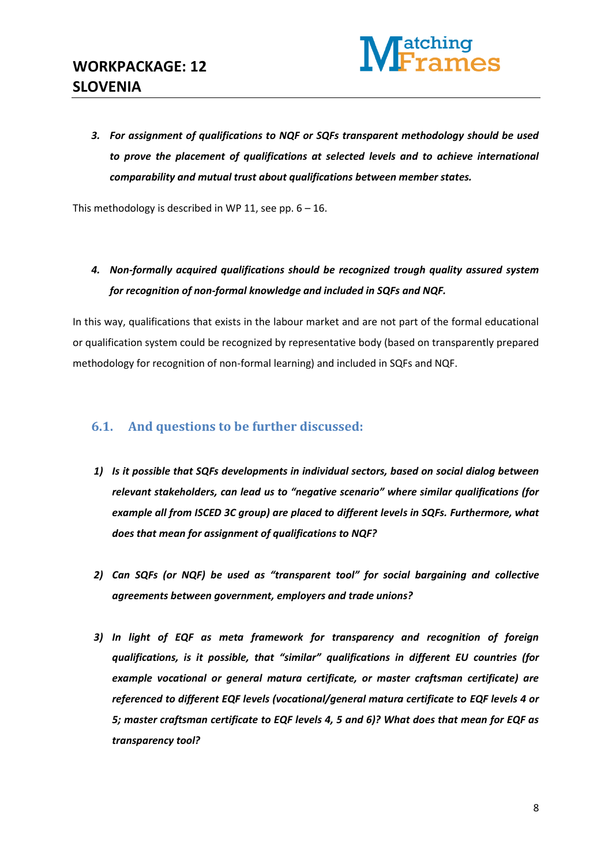

*3. For assignment of qualifications to NQF or SQFs transparent methodology should be used to prove the placement of qualifications at selected levels and to achieve international comparability and mutual trust about qualifications between member states.* 

This methodology is described in WP 11, see pp.  $6 - 16$ .

*4. Non-formally acquired qualifications should be recognized trough quality assured system for recognition of non-formal knowledge and included in SQFs and NQF.* 

In this way, qualifications that exists in the labour market and are not part of the formal educational or qualification system could be recognized by representative body (based on transparently prepared methodology for recognition of non-formal learning) and included in SQFs and NQF.

#### <span id="page-7-0"></span>**6.1. And questions to be further discussed:**

- *1) Is it possible that SQFs developments in individual sectors, based on social dialog between relevant stakeholders, can lead us to "negative scenario" where similar qualifications (for example all from ISCED 3C group) are placed to different levels in SQFs. Furthermore, what does that mean for assignment of qualifications to NQF?*
- *2) Can SQFs (or NQF) be used as "transparent tool" for social bargaining and collective agreements between government, employers and trade unions?*
- *3) In light of EQF as meta framework for transparency and recognition of foreign qualifications, is it possible, that "similar" qualifications in different EU countries (for example vocational or general matura certificate, or master craftsman certificate) are referenced to different EQF levels (vocational/general matura certificate to EQF levels 4 or 5; master craftsman certificate to EQF levels 4, 5 and 6)? What does that mean for EQF as transparency tool?*